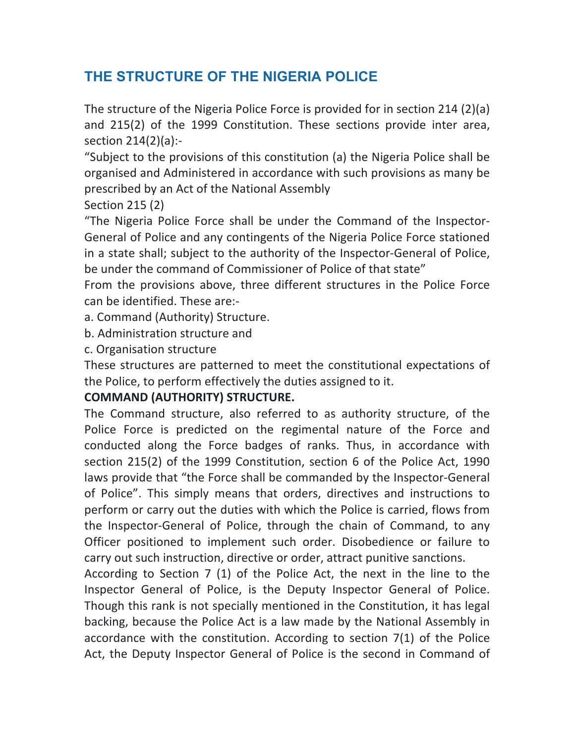# **THE STRUCTURE OF THE NIGERIA POLICE**

The structure of the Nigeria Police Force is provided for in section 214 (2)(a) and 215(2) of the 1999 Constitution. These sections provide inter area, section 214(2)(a):-

"Subject to the provisions of this constitution (a) the Nigeria Police shall be organised and Administered in accordance with such provisions as many be prescribed by an Act of the National Assembly Section 215 (2)

"The Nigeria Police Force shall be under the Command of the Inspector-General of Police and any contingents of the Nigeria Police Force stationed in a state shall; subject to the authority of the Inspector-General of Police, be under the command of Commissioner of Police of that state"

From the provisions above, three different structures in the Police Force can be identified. These are:-

a. Command (Authority) Structure.

- b. Administration structure and
- c. Organisation structure

These structures are patterned to meet the constitutional expectations of the Police, to perform effectively the duties assigned to it.

#### **COMMAND (AUTHORITY) STRUCTURE.**

The Command structure, also referred to as authority structure, of the Police Force is predicted on the regimental nature of the Force and conducted along the Force badges of ranks. Thus, in accordance with section 215(2) of the 1999 Constitution, section 6 of the Police Act, 1990 laws provide that "the Force shall be commanded by the Inspector-General of Police". This simply means that orders, directives and instructions to perform or carry out the duties with which the Police is carried, flows from the Inspector-General of Police, through the chain of Command, to any Officer positioned to implement such order. Disobedience or failure to carry out such instruction, directive or order, attract punitive sanctions.

According to Section  $7(1)$  of the Police Act, the next in the line to the Inspector General of Police, is the Deputy Inspector General of Police. Though this rank is not specially mentioned in the Constitution, it has legal backing, because the Police Act is a law made by the National Assembly in accordance with the constitution. According to section  $7(1)$  of the Police Act, the Deputy Inspector General of Police is the second in Command of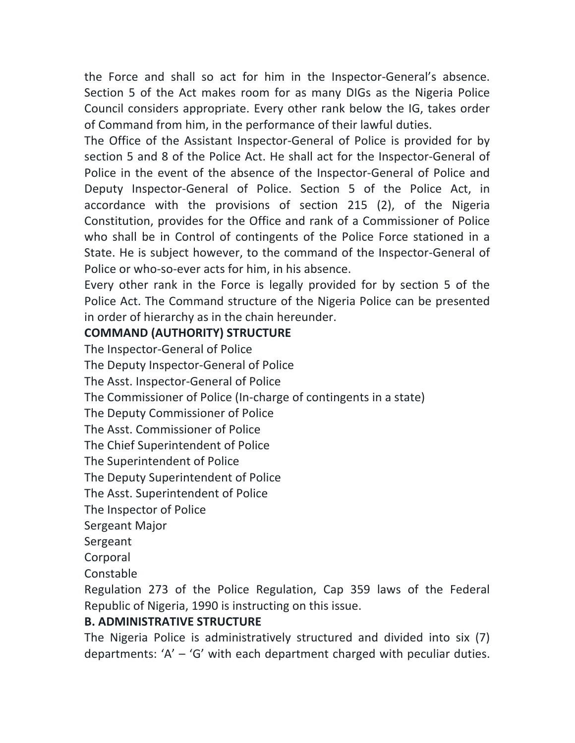the Force and shall so act for him in the Inspector-General's absence. Section 5 of the Act makes room for as many DIGs as the Nigeria Police Council considers appropriate. Every other rank below the IG, takes order of Command from him, in the performance of their lawful duties.

The Office of the Assistant Inspector-General of Police is provided for by section 5 and 8 of the Police Act. He shall act for the Inspector-General of Police in the event of the absence of the Inspector-General of Police and Deputy Inspector-General of Police. Section 5 of the Police Act, in accordance with the provisions of section 215 (2), of the Nigeria Constitution, provides for the Office and rank of a Commissioner of Police who shall be in Control of contingents of the Police Force stationed in a State. He is subject however, to the command of the Inspector-General of Police or who-so-ever acts for him, in his absence.

Every other rank in the Force is legally provided for by section 5 of the Police Act. The Command structure of the Nigeria Police can be presented in order of hierarchy as in the chain hereunder.

#### **COMMAND (AUTHORITY) STRUCTURE**

The Inspector-General of Police

The Deputy Inspector-General of Police

The Asst. Inspector-General of Police

The Commissioner of Police (In-charge of contingents in a state)

The Deputy Commissioner of Police

The Asst. Commissioner of Police

The Chief Superintendent of Police

The Superintendent of Police

The Deputy Superintendent of Police

The Asst. Superintendent of Police

The Inspector of Police

Sergeant Major

Sergeant

Corporal

Constable

Regulation 273 of the Police Regulation, Cap 359 laws of the Federal Republic of Nigeria, 1990 is instructing on this issue.

#### **B. ADMINISTRATIVE STRUCTURE**

The Nigeria Police is administratively structured and divided into six (7) departments:  $'A' - G'$  with each department charged with peculiar duties.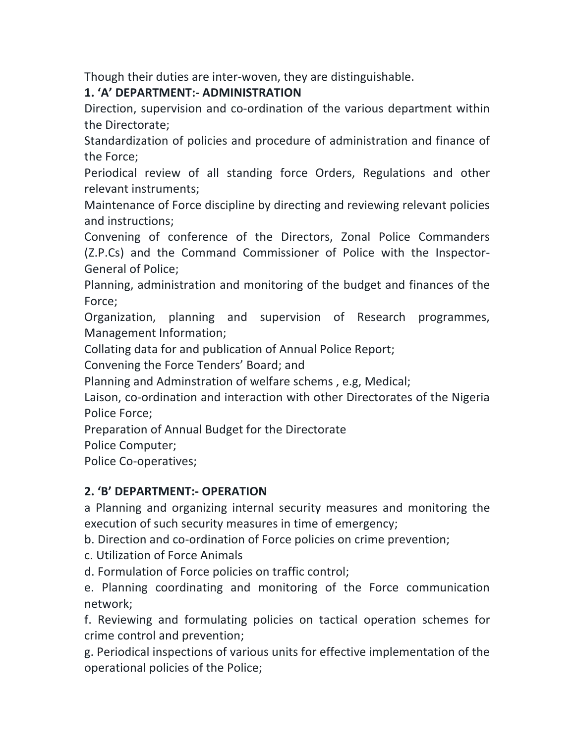Though their duties are inter-woven, they are distinguishable.

# **1. 'A' DEPARTMENT:- ADMINISTRATION**

Direction, supervision and co-ordination of the various department within the Directorate;

Standardization of policies and procedure of administration and finance of the Force;

Periodical review of all standing force Orders, Regulations and other relevant instruments;

Maintenance of Force discipline by directing and reviewing relevant policies and instructions:

Convening of conference of the Directors, Zonal Police Commanders (Z.P.Cs) and the Command Commissioner of Police with the Inspector-General of Police:

Planning, administration and monitoring of the budget and finances of the Force;

Organization, planning and supervision of Research programmes, Management Information;

Collating data for and publication of Annual Police Report;

Convening the Force Tenders' Board; and

Planning and Adminstration of welfare schems, e.g, Medical;

Laison, co-ordination and interaction with other Directorates of the Nigeria Police Force;

Preparation of Annual Budget for the Directorate

Police Computer;

Police Co-operatives;

# **2. 'B' DEPARTMENT:- OPERATION**

a Planning and organizing internal security measures and monitoring the execution of such security measures in time of emergency;

b. Direction and co-ordination of Force policies on crime prevention;

c. Utilization of Force Animals

d. Formulation of Force policies on traffic control;

e. Planning coordinating and monitoring of the Force communication network;

f. Reviewing and formulating policies on tactical operation schemes for crime control and prevention;

g. Periodical inspections of various units for effective implementation of the operational policies of the Police;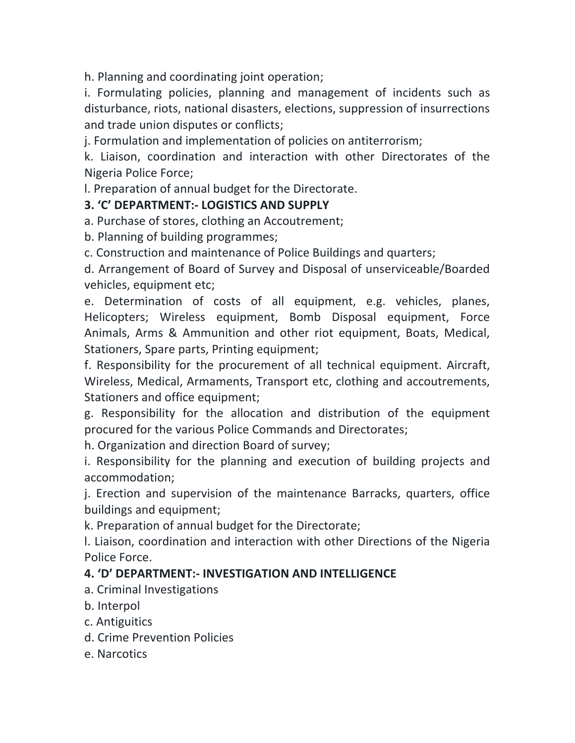h. Planning and coordinating joint operation;

i. Formulating policies, planning and management of incidents such as disturbance, riots, national disasters, elections, suppression of insurrections and trade union disputes or conflicts;

j. Formulation and implementation of policies on antiterrorism;

k. Liaison, coordination and interaction with other Directorates of the Nigeria Police Force;

I. Preparation of annual budget for the Directorate.

## **3. 'C' DEPARTMENT:- LOGISTICS AND SUPPLY**

a. Purchase of stores, clothing an Accoutrement;

b. Planning of building programmes;

c. Construction and maintenance of Police Buildings and quarters;

d. Arrangement of Board of Survey and Disposal of unserviceable/Boarded vehicles, equipment etc;

e. Determination of costs of all equipment, e.g. vehicles, planes, Helicopters; Wireless equipment, Bomb Disposal equipment, Force Animals, Arms & Ammunition and other riot equipment, Boats, Medical, Stationers, Spare parts, Printing equipment;

f. Responsibility for the procurement of all technical equipment. Aircraft, Wireless, Medical, Armaments, Transport etc, clothing and accoutrements, Stationers and office equipment;

g. Responsibility for the allocation and distribution of the equipment procured for the various Police Commands and Directorates;

h. Organization and direction Board of survey;

i. Responsibility for the planning and execution of building projects and accommodation;

j. Erection and supervision of the maintenance Barracks, quarters, office buildings and equipment;

k. Preparation of annual budget for the Directorate;

I. Liaison, coordination and interaction with other Directions of the Nigeria Police Force.

## **4. 'D' DEPARTMENT:- INVESTIGATION AND INTELLIGENCE**

a. Criminal Investigations

- b. Interpol
- c. Antiguitics
- d. Crime Prevention Policies
- e. Narcotics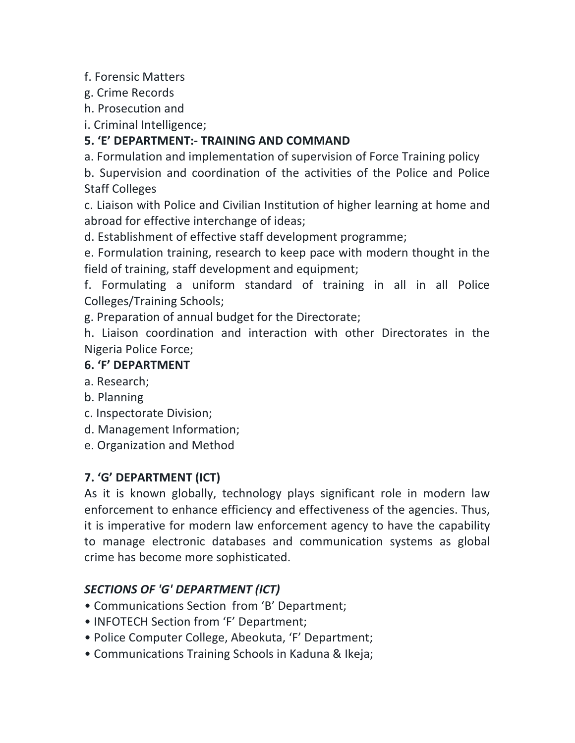f. Forensic Matters

g. Crime Records

h. Prosecution and

i. Criminal Intelligence;

# **5. 'E' DEPARTMENT:- TRAINING AND COMMAND**

a. Formulation and implementation of supervision of Force Training policy

b. Supervision and coordination of the activities of the Police and Police **Staff Colleges** 

c. Liaison with Police and Civilian Institution of higher learning at home and abroad for effective interchange of ideas;

d. Establishment of effective staff development programme;

e. Formulation training, research to keep pace with modern thought in the field of training, staff development and equipment;

f. Formulating a uniform standard of training in all in all Police Colleges/Training Schools;

g. Preparation of annual budget for the Directorate;

h. Liaison coordination and interaction with other Directorates in the Nigeria Police Force;

# **6. 'F' DEPARTMENT**

- a. Research:
- b. Planning
- c. Inspectorate Division;
- d. Management Information;
- e. Organization and Method

# **7. 'G' DEPARTMENT (ICT)**

As it is known globally, technology plays significant role in modern law enforcement to enhance efficiency and effectiveness of the agencies. Thus, it is imperative for modern law enforcement agency to have the capability to manage electronic databases and communication systems as global crime has become more sophisticated.

# *SECTIONS OF 'G' DEPARTMENT (ICT)*

- Communications Section from 'B' Department;
- **INFOTECH** Section from 'F' Department;
- Police Computer College, Abeokuta, 'F' Department;
- Communications Training Schools in Kaduna & Ikeja;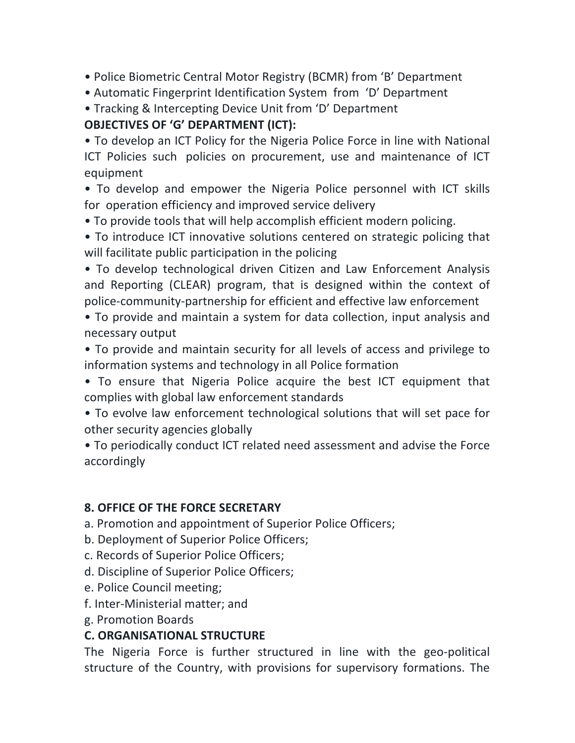- Police Biometric Central Motor Registry (BCMR) from 'B' Department
- Automatic Fingerprint Identification System from 'D' Department
- Tracking & Intercepting Device Unit from 'D' Department

# **OBJECTIVES OF 'G' DEPARTMENT (ICT):**

• To develop an ICT Policy for the Nigeria Police Force in line with National ICT Policies such policies on procurement, use and maintenance of ICT equipment

• To develop and empower the Nigeria Police personnel with ICT skills for operation efficiency and improved service delivery

• To provide tools that will help accomplish efficient modern policing.

• To introduce ICT innovative solutions centered on strategic policing that will facilitate public participation in the policing

• To develop technological driven Citizen and Law Enforcement Analysis and Reporting (CLEAR) program, that is designed within the context of police-community-partnership for efficient and effective law enforcement

• To provide and maintain a system for data collection, input analysis and necessary output

• To provide and maintain security for all levels of access and privilege to information systems and technology in all Police formation

• To ensure that Nigeria Police acquire the best ICT equipment that complies with global law enforcement standards

• To evolve law enforcement technological solutions that will set pace for other security agencies globally

• To periodically conduct ICT related need assessment and advise the Force accordingly

## **8. OFFICE OF THE FORCE SECRETARY**

a. Promotion and appointment of Superior Police Officers;

- b. Deployment of Superior Police Officers;
- c. Records of Superior Police Officers;
- d. Discipline of Superior Police Officers;
- e. Police Council meeting;
- f. Inter-Ministerial matter; and
- g. Promotion Boards

## **C. ORGANISATIONAL STRUCTURE**

The Nigeria Force is further structured in line with the geo-political structure of the Country, with provisions for supervisory formations. The